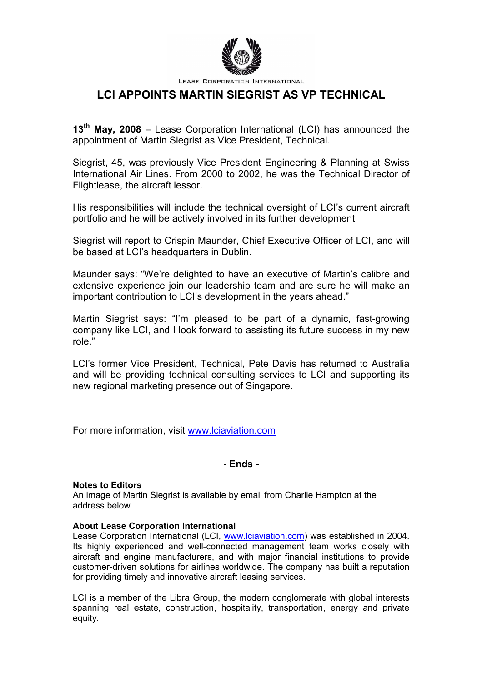

LEASE CORPORATION INTERNATIONAL

# **LCI APPOINTS MARTIN SIEGRIST AS VP TECHNICAL**

**13th May, 2008** – Lease Corporation International (LCI) has announced the appointment of Martin Siegrist as Vice President, Technical.

Siegrist, 45, was previously Vice President Engineering & Planning at Swiss International Air Lines. From 2000 to 2002, he was the Technical Director of Flightlease, the aircraft lessor.

His responsibilities will include the technical oversight of LCI's current aircraft portfolio and he will be actively involved in its further development

Siegrist will report to Crispin Maunder, Chief Executive Officer of LCI, and will be based at LCI's headquarters in Dublin.

Maunder says: "We're delighted to have an executive of Martin's calibre and extensive experience join our leadership team and are sure he will make an important contribution to LCI's development in the years ahead."

Martin Siegrist says: "I'm pleased to be part of a dynamic, fast-growing company like LCI, and I look forward to assisting its future success in my new role."

LCI's former Vice President, Technical, Pete Davis has returned to Australia and will be providing technical consulting services to LCI and supporting its new regional marketing presence out of Singapore.

For more information, visit www.lciaviation.com

### **- Ends -**

#### **Notes to Editors**

An image of Martin Siegrist is available by email from Charlie Hampton at the address below.

#### **About Lease Corporation International**

Lease Corporation International (LCI, www.lciaviation.com) was established in 2004. Its highly experienced and well-connected management team works closely with aircraft and engine manufacturers, and with major financial institutions to provide customer-driven solutions for airlines worldwide. The company has built a reputation for providing timely and innovative aircraft leasing services.

LCI is a member of the Libra Group, the modern conglomerate with global interests spanning real estate, construction, hospitality, transportation, energy and private equity.